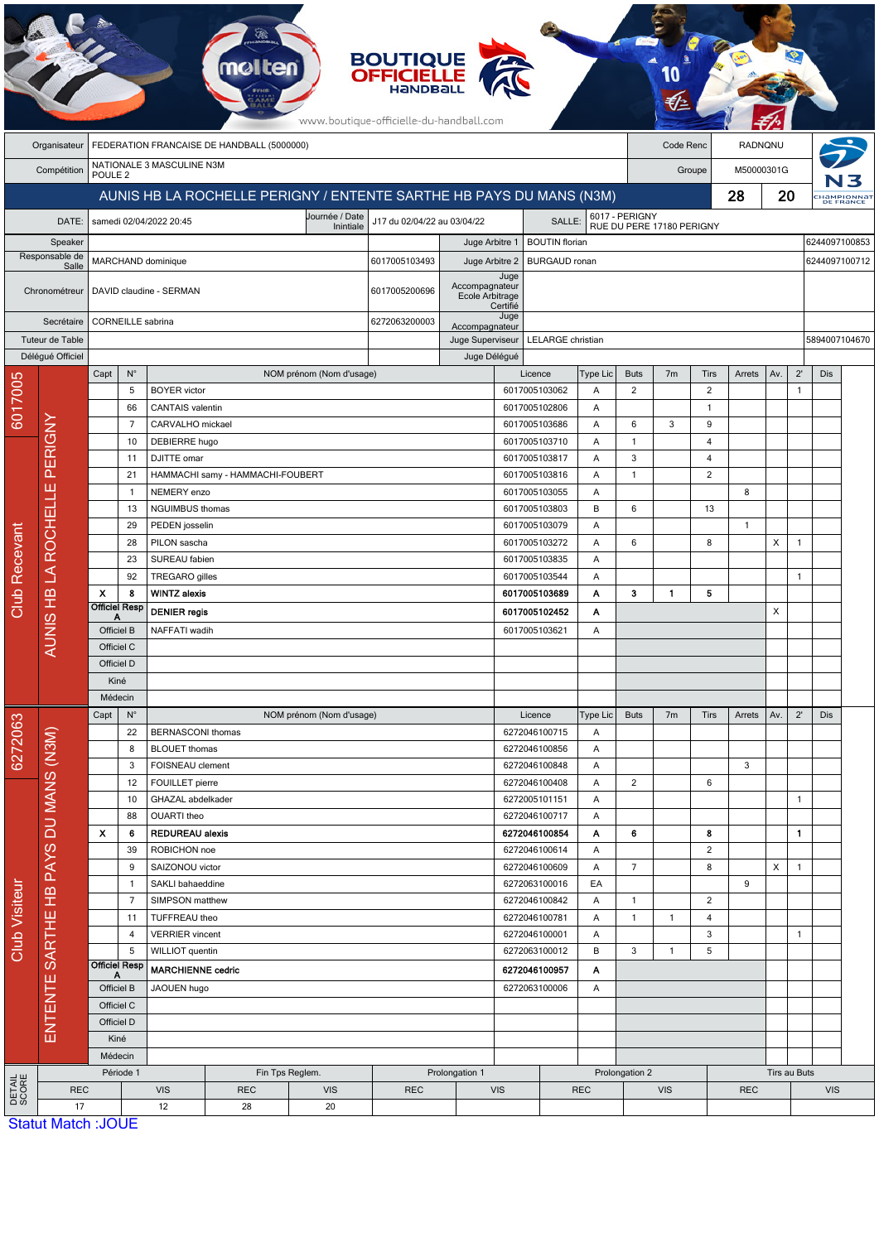|                         | <b>BOUTIQUE<br/>OFFICIELLE</b><br>www.boutique-officielle-du-handball.com |                                                                     |                                                 |                                                     |                                  |                                                            |               |                                                      |                                |                                |              |                                             |                      |                |              |     |               |               |                                        |
|-------------------------|---------------------------------------------------------------------------|---------------------------------------------------------------------|-------------------------------------------------|-----------------------------------------------------|----------------------------------|------------------------------------------------------------|---------------|------------------------------------------------------|--------------------------------|--------------------------------|--------------|---------------------------------------------|----------------------|----------------|--------------|-----|---------------|---------------|----------------------------------------|
|                         | Organisateur                                                              | FEDERATION FRANCAISE DE HANDBALL (5000000)                          |                                                 |                                                     |                                  |                                                            |               |                                                      |                                |                                |              | Code Renc                                   |                      | RADNQNU        |              |     |               |               |                                        |
|                         | Compétition                                                               |                                                                     | NATIONALE 3 MASCULINE N3M<br>POULE <sub>2</sub> |                                                     |                                  |                                                            |               |                                                      |                                |                                |              |                                             | M50000301G<br>Groupe |                |              |     |               |               |                                        |
|                         |                                                                           | AUNIS HB LA ROCHELLE PERIGNY / ENTENTE SARTHE HB PAYS DU MANS (N3M) |                                                 |                                                     |                                  |                                                            |               |                                                      |                                |                                |              |                                             |                      |                | 28           | 20  |               |               | :Hampionna <mark>i</mark><br>DE FRANCE |
|                         | DATE:                                                                     |                                                                     |                                                 | samedi 02/04/2022 20:45                             |                                  | Journée / Date<br>J17 du 02/04/22 au 03/04/22<br>Inintiale |               |                                                      |                                | SALLE:                         |              | 6017 - PERIGNY<br>RUE DU PERE 17180 PERIGNY |                      |                |              |     |               |               |                                        |
|                         | Speaker                                                                   |                                                                     |                                                 |                                                     |                                  |                                                            |               | Juge Arbitre 1<br><b>BOUTIN</b> florian              |                                |                                |              |                                             |                      |                |              |     | 6244097100853 |               |                                        |
| Responsable de<br>Salle |                                                                           |                                                                     |                                                 | MARCHAND dominique                                  |                                  | 6017005103493<br>Juge Arbitre 2                            |               |                                                      |                                | <b>BURGAUD</b> ronan           |              |                                             |                      |                |              |     |               | 6244097100712 |                                        |
| Chronométreur           |                                                                           |                                                                     |                                                 | DAVID claudine - SERMAN                             |                                  |                                                            | 6017005200696 | Accompagnateur<br><b>Ecole Arbitrage</b><br>Certifié | Juge                           |                                |              |                                             |                      |                |              |     |               |               |                                        |
| Secrétaire              |                                                                           |                                                                     | <b>CORNEILLE</b> sabrina                        |                                                     |                                  |                                                            | 6272063200003 | Accompagnateur                                       | Juge                           |                                |              |                                             |                      |                |              |     |               |               |                                        |
|                         | Tuteur de Table                                                           |                                                                     |                                                 |                                                     |                                  |                                                            |               | Juge Superviseur                                     | LELARGE christian              |                                |              |                                             |                      |                |              |     | 5894007104670 |               |                                        |
|                         | Délégué Officiel                                                          | Capt                                                                | $N^{\circ}$                                     |                                                     |                                  | NOM prénom (Nom d'usage)                                   |               | Juge Délégué                                         | Licence                        |                                | Type Lic     | <b>Buts</b>                                 | 7 <sub>m</sub>       | <b>Tirs</b>    | Arrets       | Av. | $2^{\prime}$  | Dis           |                                        |
| 6017005                 |                                                                           |                                                                     | 5                                               | <b>BOYER</b> victor                                 |                                  |                                                            |               |                                                      |                                | 6017005103062                  | Α            | $\overline{2}$                              |                      | $\overline{2}$ |              |     | $\mathbf{1}$  |               |                                        |
|                         | PERIGNY                                                                   |                                                                     | 66                                              | <b>CANTAIS</b> valentin                             |                                  |                                                            |               |                                                      |                                | 6017005102806                  | Α            |                                             |                      | $\mathbf{1}$   |              |     |               |               |                                        |
|                         |                                                                           |                                                                     | 7                                               | CARVALHO mickael                                    |                                  |                                                            |               |                                                      |                                | 6017005103686                  | Α            | 6                                           | 3                    | 9              |              |     |               |               |                                        |
|                         |                                                                           |                                                                     | 10                                              | DEBIERRE hugo                                       |                                  |                                                            |               |                                                      |                                | 6017005103710                  | Α            | $\mathbf{1}$                                |                      | 4              |              |     |               |               |                                        |
|                         |                                                                           |                                                                     | 11                                              | DJITTE omar                                         |                                  |                                                            |               |                                                      |                                | 6017005103817                  | Α            | 3                                           |                      | 4              |              |     |               |               |                                        |
|                         | ш                                                                         |                                                                     | 21<br>-1                                        | NEMERY enzo                                         | HAMMACHI samy - HAMMACHI-FOUBERT |                                                            |               |                                                      |                                | 6017005103816<br>6017005103055 | Α<br>Α       | $\mathbf{1}$                                |                      | $\overline{2}$ | 8            |     |               |               |                                        |
|                         |                                                                           |                                                                     | 13                                              | NGUIMBUS thomas                                     |                                  |                                                            |               |                                                      |                                | 6017005103803                  | B            | 6                                           |                      | 13             |              |     |               |               |                                        |
|                         | <b>ROCHELL</b><br>$\overline{\mathcal{L}}$<br>AUNIS HB                    |                                                                     | 29                                              | PEDEN josselin                                      |                                  |                                                            |               |                                                      | 6017005103079<br>Α             |                                |              |                                             |                      |                | $\mathbf{1}$ |     |               |               |                                        |
|                         |                                                                           |                                                                     | 28                                              | PILON sascha                                        |                                  |                                                            |               |                                                      |                                | 6017005103272                  | Α            | 6                                           |                      | 8              |              | X   | $\mathbf{1}$  |               |                                        |
| Recevant                |                                                                           |                                                                     | 23                                              | SUREAU fabien                                       |                                  |                                                            |               |                                                      |                                | 6017005103835                  | Α            |                                             |                      |                |              |     |               |               |                                        |
|                         |                                                                           |                                                                     | 92                                              | <b>TREGARO</b> gilles                               |                                  |                                                            |               |                                                      |                                | 6017005103544                  | Α            |                                             |                      |                |              |     | $\mathbf{1}$  |               |                                        |
| Club                    |                                                                           | $\boldsymbol{\mathsf{x}}$                                           | 8<br><b>Officiel Resp</b>                       | <b>WINTZ alexis</b>                                 |                                  |                                                            |               |                                                      |                                | 6017005103689                  | Α            | 3                                           | $\mathbf{1}$         | 5              |              |     |               |               |                                        |
|                         |                                                                           |                                                                     |                                                 | <b>DENIER</b> regis                                 |                                  |                                                            |               |                                                      |                                | 6017005102452                  | Α            |                                             |                      |                |              | X   |               |               |                                        |
|                         |                                                                           | Officiel B<br>Officiel C                                            |                                                 | NAFFATI wadih                                       |                                  |                                                            |               |                                                      |                                | 6017005103621                  | Α            |                                             |                      |                |              |     |               |               |                                        |
|                         |                                                                           | Officiel D                                                          |                                                 |                                                     |                                  |                                                            |               |                                                      |                                |                                |              |                                             |                      |                |              |     |               |               |                                        |
|                         |                                                                           | Kiné                                                                |                                                 |                                                     |                                  |                                                            |               |                                                      |                                |                                |              |                                             |                      |                |              |     |               |               |                                        |
|                         |                                                                           | Médecin                                                             |                                                 |                                                     |                                  |                                                            |               |                                                      |                                |                                |              |                                             |                      |                |              |     |               |               |                                        |
|                         |                                                                           | Capt                                                                | $N^{\circ}$                                     |                                                     |                                  | NOM prénom (Nom d'usage)                                   |               |                                                      |                                | Licence                        | Type Lic     | <b>Buts</b>                                 | 7 <sub>m</sub>       | Tirs           | Arrets       | Av. | $2^{\prime}$  | Dis           |                                        |
|                         |                                                                           |                                                                     | 22                                              | <b>BERNASCONI</b> thomas                            |                                  |                                                            |               |                                                      |                                | 6272046100715                  | Α            |                                             |                      |                |              |     |               |               |                                        |
| 6272063                 |                                                                           |                                                                     | 8<br>3                                          | <b>BLOUET</b> thomas<br>FOISNEAU clement            |                                  |                                                            |               |                                                      |                                | 6272046100856<br>6272046100848 | Α<br>Α       |                                             |                      |                | 3            |     |               |               |                                        |
|                         |                                                                           |                                                                     | 12                                              | FOUILLET pierre                                     |                                  |                                                            |               |                                                      |                                | 6272046100408                  | Α            | $\overline{2}$                              |                      | 6              |              |     |               |               |                                        |
|                         |                                                                           |                                                                     | 10                                              | GHAZAL abdelkader                                   |                                  |                                                            |               |                                                      |                                | 6272005101151                  | Α            |                                             |                      |                |              |     | $\mathbf{1}$  |               |                                        |
|                         |                                                                           |                                                                     | 88                                              | OUARTI theo                                         |                                  |                                                            |               |                                                      |                                | 6272046100717                  | Α            |                                             |                      |                |              |     |               |               |                                        |
|                         |                                                                           | X                                                                   | 6                                               | <b>REDUREAU alexis</b>                              |                                  |                                                            |               |                                                      |                                | 6272046100854                  | Α            | 6                                           |                      | 8              |              |     | 1             |               |                                        |
|                         |                                                                           | 39                                                                  |                                                 | ROBICHON noe                                        |                                  |                                                            |               |                                                      |                                | 6272046100614                  | Α            |                                             |                      | $\overline{2}$ |              |     |               |               |                                        |
|                         | SARTHE HB PAYS DU MANS (N3M)                                              | 9                                                                   |                                                 | SAIZONOU victor<br>SAKLI bahaeddine<br>$\mathbf{1}$ |                                  |                                                            |               |                                                      | 6272046100609<br>6272063100016 |                                | Α<br>EA      | $\overline{7}$                              |                      | 8              | 9            | X   | $\mathbf{1}$  |               |                                        |
|                         |                                                                           | $\overline{7}$                                                      |                                                 | SIMPSON matthew                                     |                                  |                                                            |               |                                                      | 6272046100842<br>Α             |                                |              | $\mathbf{1}$                                |                      | $\overline{2}$ |              |     |               |               |                                        |
|                         |                                                                           |                                                                     | 11<br>TUFFREAU theo                             |                                                     |                                  |                                                            |               | 6272046100781                                        |                                | Α                              | $\mathbf{1}$ | $\mathbf{1}$                                | 4                    |                |              |     |               |               |                                        |
| Club Visiteur           |                                                                           |                                                                     | 4                                               | <b>VERRIER</b> vincent                              |                                  |                                                            |               |                                                      |                                | 6272046100001                  | Α            |                                             |                      | 3              |              |     | 1             |               |                                        |
|                         | ENTENTE                                                                   |                                                                     | 5                                               | WILLIOT quentin                                     |                                  |                                                            |               |                                                      |                                | 6272063100012                  | В            | 3                                           | $\mathbf{1}$         | 5              |              |     |               |               |                                        |
|                         |                                                                           | <b>Officiel Resp</b><br>A<br>Officiel B<br>Officiel C<br>Officiel D |                                                 | <b>MARCHIENNE cedric</b>                            |                                  |                                                            |               |                                                      | 6272046100957                  |                                | Α            |                                             |                      |                |              |     |               |               |                                        |
|                         |                                                                           |                                                                     |                                                 | JAOUEN hugo                                         |                                  |                                                            |               |                                                      | 6272063100006                  |                                | Α            |                                             |                      |                |              |     |               |               |                                        |
|                         |                                                                           |                                                                     |                                                 |                                                     |                                  |                                                            |               |                                                      |                                |                                |              |                                             |                      |                |              |     |               |               |                                        |
|                         |                                                                           |                                                                     | Kiné                                            |                                                     |                                  |                                                            |               |                                                      |                                |                                |              |                                             |                      |                |              |     |               |               |                                        |
|                         |                                                                           | Médecin                                                             |                                                 |                                                     |                                  |                                                            |               |                                                      |                                |                                |              |                                             |                      |                |              |     |               |               |                                        |
|                         |                                                                           | Période 1                                                           |                                                 |                                                     |                                  | Prolongation 1<br>Fin Tps Reglem.                          |               |                                                      |                                |                                |              |                                             | Prolongation 2       |                |              |     | Tirs au Buts  |               |                                        |
| DETAIL<br>SCORE         | <b>REC</b>                                                                |                                                                     |                                                 | <b>VIS</b>                                          | <b>REC</b>                       | <b>VIS</b>                                                 | <b>REC</b>    | <b>VIS</b>                                           |                                |                                | <b>REC</b>   |                                             | <b>VIS</b>           |                | <b>REC</b>   |     |               | <b>VIS</b>    |                                        |
|                         | 17<br><b>Statut Match: JOUE</b>                                           |                                                                     |                                                 | 12<br>28<br>20                                      |                                  |                                                            |               |                                                      |                                |                                |              |                                             |                      |                |              |     |               |               |                                        |